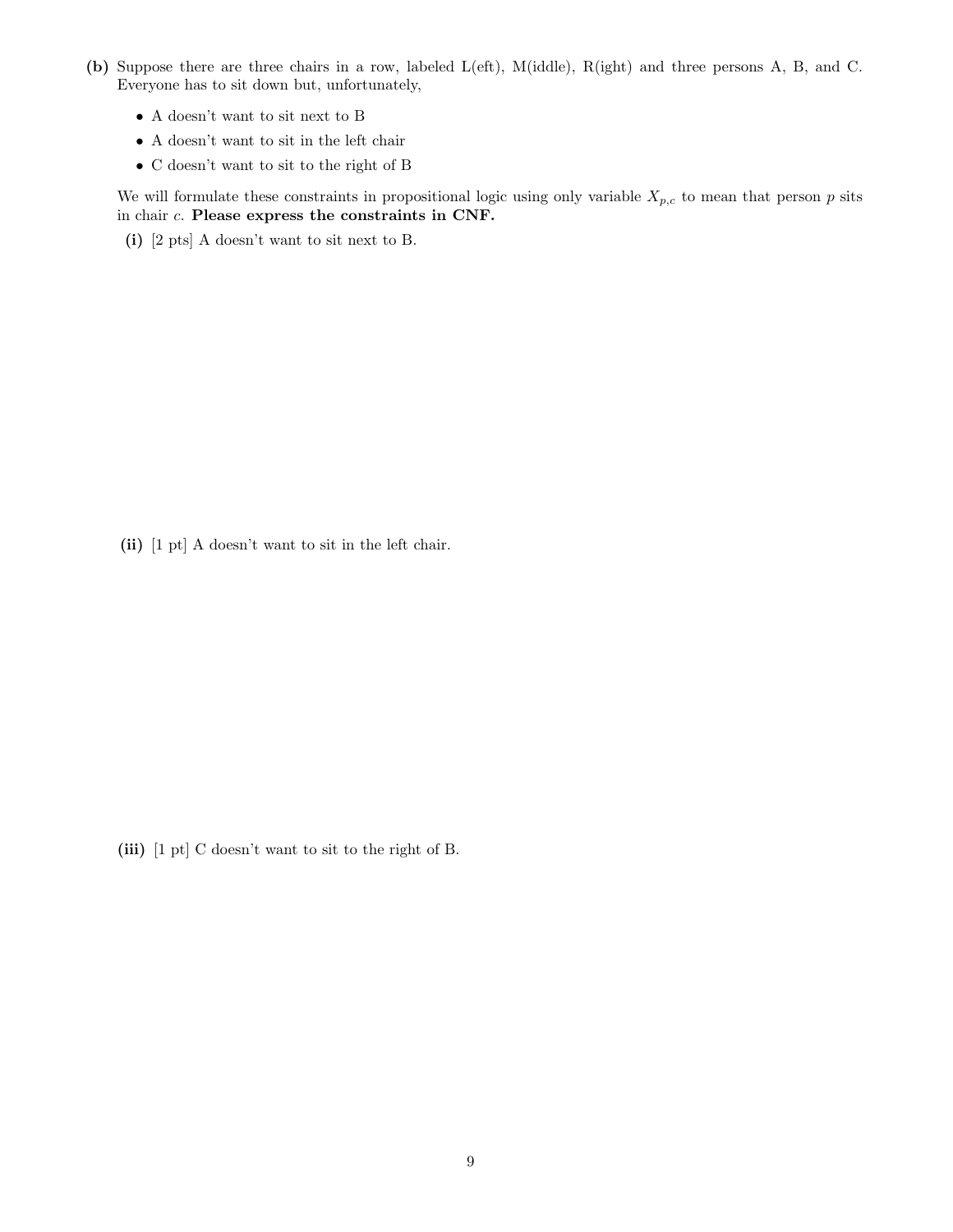- (b) Suppose there are three chairs in a row, labeled L(eft), M(iddle), R(ight) and three persons A, B, and C. Everyone has to sit down but, unfortunately,
	- A doesn't want to sit next to B
	- $\bullet\,$  A doesn't want to sit in the left chair
	- C doesn't want to sit to the right of B

We will formulate these constraints in propositional logic using only variable  $X_{p,c}$  to mean that person p sits in chair c. Please express the constraints in CNF.

(i) [2 pts] A doesn't want to sit next to B.

(ii) [1 pt] A doesn't want to sit in the left chair.

(iii) [1 pt] C doesn't want to sit to the right of B.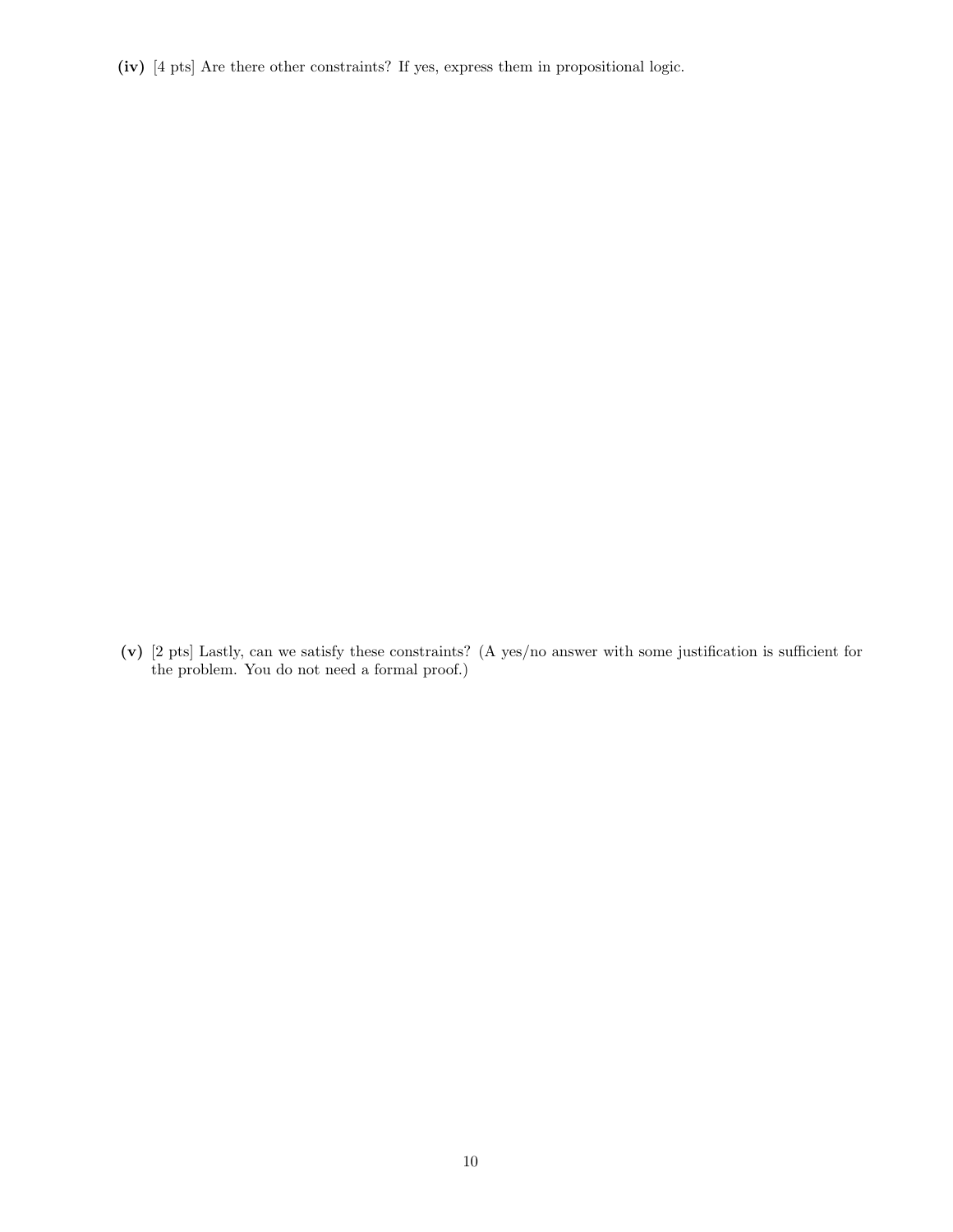(iv) [4 pts] Are there other constraints? If yes, express them in propositional logic.

(v) [2 pts] Lastly, can we satisfy these constraints? (A yes/no answer with some justification is sufficient for the problem. You do not need a formal proof.)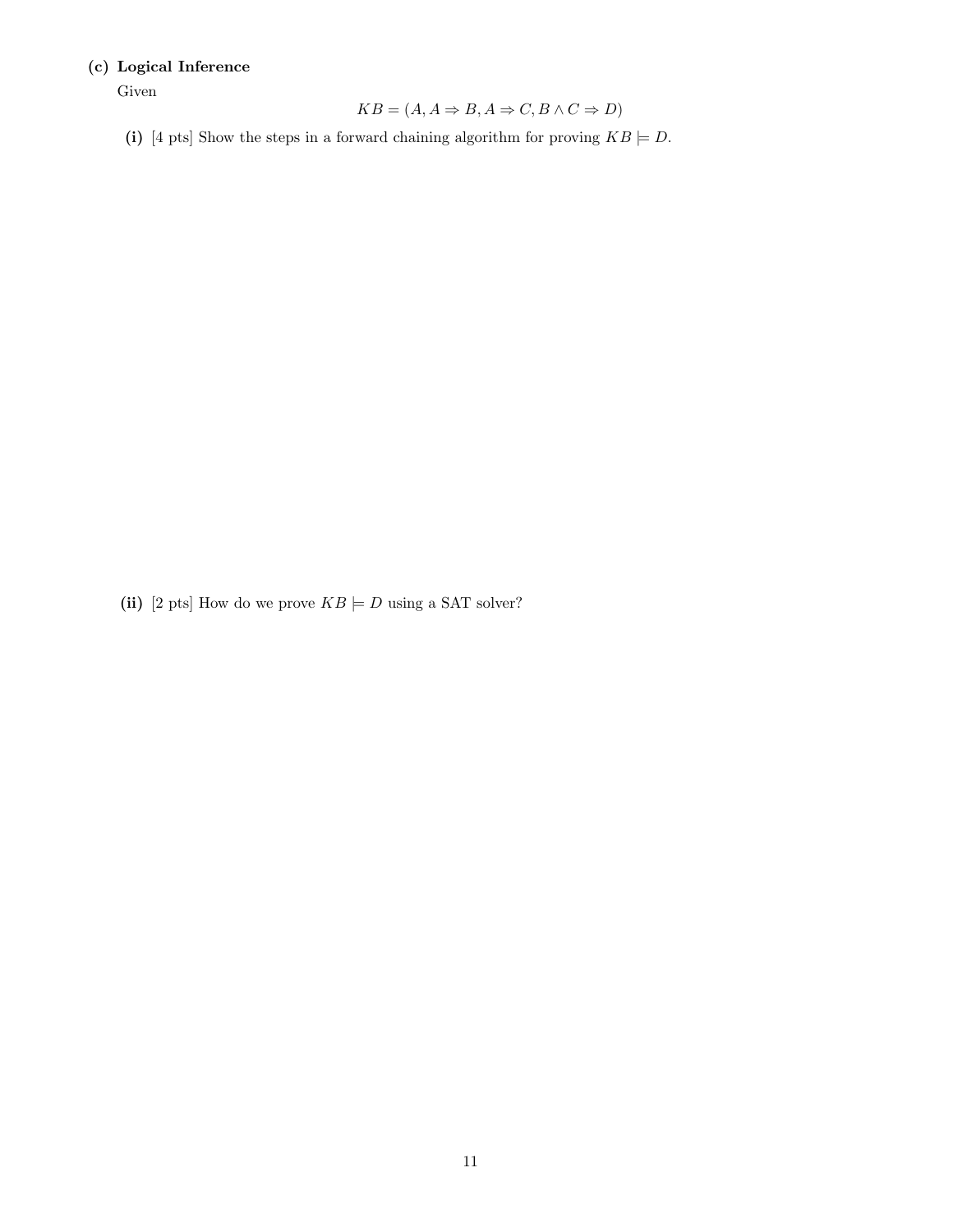## (c) Logical Inference

Given

$$
KB = (A, A \Rightarrow B, A \Rightarrow C, B \land C \Rightarrow D)
$$

(i) [4 pts] Show the steps in a forward chaining algorithm for proving  $KB \models D$ .

(ii) [2 pts] How do we prove  $KB \models D$  using a SAT solver?